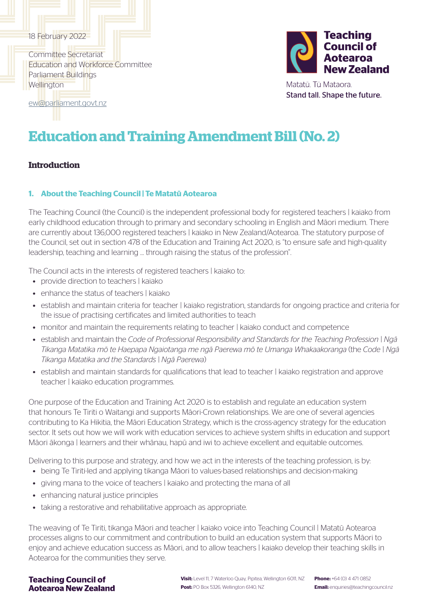### 18 February 2022

Committee Secretariat Education and Workforce Committee Parliament Buildings **Wellington** 



Matatū. Tū Mataora. Stand tall. Shape the future.

[ew@parliament.govt.nz](mailto:ew%40parliament.govt.nz?subject=)

# **Education and Training Amendment Bill (No. 2)**

# **Introduction**

### **1. About the Teaching Council | Te Matatū Aotearoa**

The Teaching Council (the Council) is the independent professional body for registered teachers | kaiako from early childhood education through to primary and secondary schooling in English and Māori medium. There are currently about 136,000 registered teachers | kaiako in New Zealand/Aotearoa. The statutory purpose of the Council, set out in section 478 of the Education and Training Act 2020, is "to ensure safe and high-quality leadership, teaching and learning … through raising the status of the profession".

The Council acts in the interests of registered teachers | kaiako to:

- provide direction to teachers | kaiako
- enhance the status of teachers | kajako
- establish and maintain criteria for teacher | kaiako registration, standards for ongoing practice and criteria for the issue of practising certificates and limited authorities to teach
- monitor and maintain the requirements relating to teacher | kaiako conduct and competence
- establish and maintain the *Code of Professional Responsibility and Standards for the Teaching Profession | Ngā Tikanga Matatika mō te Haepapa Ngaiotanga me ngā Paerewa mō te Umanga Whakaakoranga* (the *Code | Ngā Tikanga Matatika and the Standards | Ngā Paerewa*)
- establish and maintain standards for qualifications that lead to teacher | kaiako registration and approve teacher | kaiako education programmes.

One purpose of the Education and Training Act 2020 is to establish and regulate an education system that honours Te Tiriti o Waitangi and supports Māori-Crown relationships. We are one of several agencies contributing to Ka Hikitia, the Māori Education Strategy, which is the cross-agency strategy for the education sector. It sets out how we will work with education services to achieve system shifts in education and support Māori ākonga | learners and their whānau, hapū and iwi to achieve excellent and equitable outcomes.

Delivering to this purpose and strategy, and how we act in the interests of the teaching profession, is by:

- being Te Tiriti-led and applying tikanga Māori to values-based relationships and decision-making
- giving mana to the voice of teachers | kaiako and protecting the mana of all
- enhancing natural justice principles
- taking a restorative and rehabilitative approach as appropriate.

The weaving of Te Tiriti, tikanga Māori and teacher | kaiako voice into Teaching Council | Matatū Aotearoa processes aligns to our commitment and contribution to build an education system that supports Māori to enjoy and achieve education success as Māori, and to allow teachers | kaiako develop their teaching skills in Aotearoa for the communities they serve.

### **Teaching Council of Aotearoa New Zealand**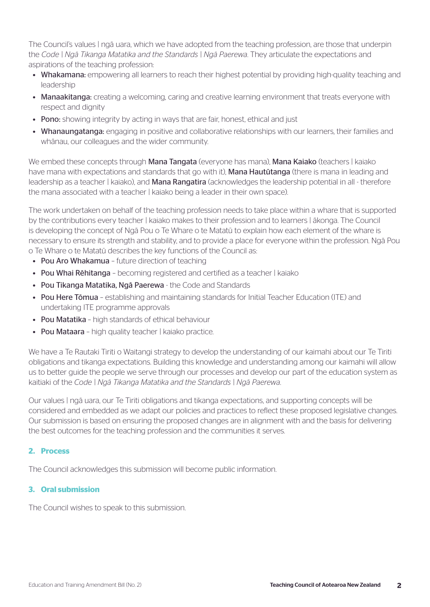The Council's values | ngā uara, which we have adopted from the teaching profession, are those that underpin the *Code | Ngā Tikanga Matatika and the Standards | Ngā Paerewa*. They articulate the expectations and aspirations of the teaching profession:

- Whakamana: empowering all learners to reach their highest potential by providing high-quality teaching and leadership
- Manaakitanga: creating a welcoming, caring and creative learning environment that treats everyone with respect and dignity
- Pono: showing integrity by acting in ways that are fair, honest, ethical and just
- Whanaungatanga: engaging in positive and collaborative relationships with our learners, their families and whānau, our colleagues and the wider community.

We embed these concepts through Mana Tangata (everyone has mana), Mana Kaiako (teachers | kaiako have mana with expectations and standards that go with it), **Mana Hautūtanga** (there is mana in leading and leadership as a teacher | kaiako), and **Mana Rangatira** (acknowledges the leadership potential in all - therefore the mana associated with a teacher | kaiako being a leader in their own space).

The work undertaken on behalf of the teaching profession needs to take place within a whare that is supported by the contributions every teacher | kaiako makes to their profession and to learners | ākonga. The Council is developing the concept of Ngā Pou o Te Whare o te Matatū to explain how each element of the whare is necessary to ensure its strength and stability, and to provide a place for everyone within the profession. Ngā Pou o Te Whare o te Matatū describes the key functions of the Council as:

- Pou Aro Whakamua future direction of teaching
- Pou Whai Rēhitanga becoming registered and certified as a teacher | kaiako
- Pou Tikanga Matatika, Ngā Paerewa the Code and Standards
- Pou Here Tōmua establishing and maintaining standards for Initial Teacher Education (ITE) and undertaking ITE programme approvals
- Pou Matatika high standards of ethical behaviour
- Pou Mataara high quality teacher | kaiako practice.

We have a Te Rautaki Tiriti o Waitangi strategy to develop the understanding of our kaimahi about our Te Tiriti obligations and tikanga expectations. Building this knowledge and understanding among our kaimahi will allow us to better guide the people we serve through our processes and develop our part of the education system as kaitiaki of the *Code | Ngā Tikanga Matatika and the Standards | Ngā Paerewa*.

Our values | ngā uara, our Te Tiriti obligations and tikanga expectations, and supporting concepts will be considered and embedded as we adapt our policies and practices to reflect these proposed legislative changes. Our submission is based on ensuring the proposed changes are in alignment with and the basis for delivering the best outcomes for the teaching profession and the communities it serves.

### **2. Process**

The Council acknowledges this submission will become public information.

### **3. Oral submission**

The Council wishes to speak to this submission.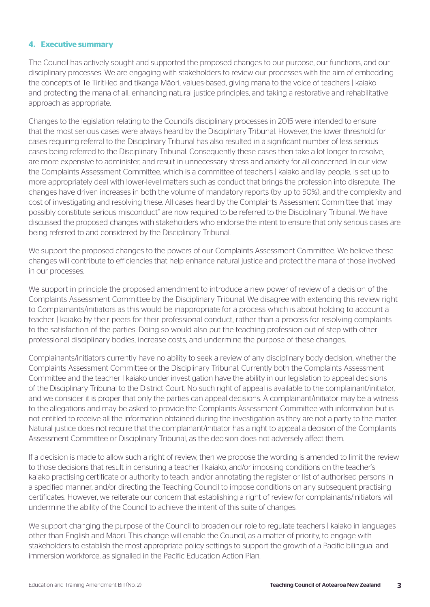#### **4. Executive summary**

The Council has actively sought and supported the proposed changes to our purpose, our functions, and our disciplinary processes. We are engaging with stakeholders to review our processes with the aim of embedding the concepts of Te Tiriti-led and tikanga Māori, values-based, giving mana to the voice of teachers | kaiako and protecting the mana of all, enhancing natural justice principles, and taking a restorative and rehabilitative approach as appropriate.

Changes to the legislation relating to the Council's disciplinary processes in 2015 were intended to ensure that the most serious cases were always heard by the Disciplinary Tribunal. However, the lower threshold for cases requiring referral to the Disciplinary Tribunal has also resulted in a significant number of less serious cases being referred to the Disciplinary Tribunal. Consequently these cases then take a lot longer to resolve, are more expensive to administer, and result in unnecessary stress and anxiety for all concerned. In our view the Complaints Assessment Committee, which is a committee of teachers | kaiako and lay people, is set up to more appropriately deal with lower-level matters such as conduct that brings the profession into disrepute. The changes have driven increases in both the volume of mandatory reports (by up to 50%), and the complexity and cost of investigating and resolving these. All cases heard by the Complaints Assessment Committee that "may possibly constitute serious misconduct" are now required to be referred to the Disciplinary Tribunal. We have discussed the proposed changes with stakeholders who endorse the intent to ensure that only serious cases are being referred to and considered by the Disciplinary Tribunal.

We support the proposed changes to the powers of our Complaints Assessment Committee. We believe these changes will contribute to efficiencies that help enhance natural justice and protect the mana of those involved in our processes.

We support in principle the proposed amendment to introduce a new power of review of a decision of the Complaints Assessment Committee by the Disciplinary Tribunal. We disagree with extending this review right to Complainants/initiators as this would be inappropriate for a process which is about holding to account a teacher | kaiako by their peers for their professional conduct, rather than a process for resolving complaints to the satisfaction of the parties. Doing so would also put the teaching profession out of step with other professional disciplinary bodies, increase costs, and undermine the purpose of these changes.

Complainants/initiators currently have no ability to seek a review of any disciplinary body decision, whether the Complaints Assessment Committee or the Disciplinary Tribunal. Currently both the Complaints Assessment Committee and the teacher | kaiako under investigation have the ability in our legislation to appeal decisions of the Disciplinary Tribunal to the District Court. No such right of appeal is available to the complainant/initiator, and we consider it is proper that only the parties can appeal decisions. A complainant/initiator may be a witness to the allegations and may be asked to provide the Complaints Assessment Committee with information but is not entitled to receive all the information obtained during the investigation as they are not a party to the matter. Natural justice does not require that the complainant/initiator has a right to appeal a decision of the Complaints Assessment Committee or Disciplinary Tribunal, as the decision does not adversely affect them.

If a decision is made to allow such a right of review, then we propose the wording is amended to limit the review to those decisions that result in censuring a teacher | kaiako, and/or imposing conditions on the teacher's | kaiako practising certificate or authority to teach, and/or annotating the register or list of authorised persons in a specified manner, and/or directing the Teaching Council to impose conditions on any subsequent practising certificates. However, we reiterate our concern that establishing a right of review for complainants/initiators will undermine the ability of the Council to achieve the intent of this suite of changes.

We support changing the purpose of the Council to broaden our role to regulate teachers I kajako in languages other than English and Māori. This change will enable the Council, as a matter of priority, to engage with stakeholders to establish the most appropriate policy settings to support the growth of a Pacific bilingual and immersion workforce, as signalled in the Pacific Education Action Plan.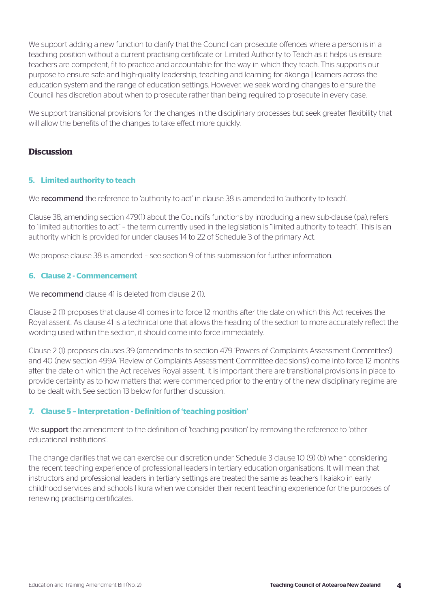We support adding a new function to clarify that the Council can prosecute offences where a person is in a teaching position without a current practising certificate or Limited Authority to Teach as it helps us ensure teachers are competent, fit to practice and accountable for the way in which they teach. This supports our purpose to ensure safe and high-quality leadership, teaching and learning for ākonga | learners across the education system and the range of education settings. However, we seek wording changes to ensure the Council has discretion about when to prosecute rather than being required to prosecute in every case.

We support transitional provisions for the changes in the disciplinary processes but seek greater flexibility that will allow the benefits of the changes to take effect more quickly.

# **Discussion**

### **5. Limited authority to teach**

We recommend the reference to 'authority to act' in clause 38 is amended to 'authority to teach'.

Clause 38, amending section 479(1) about the Council's functions by introducing a new sub-clause (pa), refers to 'limited authorities to act" – the term currently used in the legislation is "limited authority to teach". This is an authority which is provided for under clauses 14 to 22 of Schedule 3 of the primary Act.

We propose clause 38 is amended - see section 9 of this submission for further information.

#### **6. Clause 2 - Commencement**

We **recommend** clause 41 is deleted from clause 2(1).

Clause 2 (1) proposes that clause 41 comes into force 12 months after the date on which this Act receives the Royal assent. As clause 41 is a technical one that allows the heading of the section to more accurately reflect the wording used within the section, it should come into force immediately.

Clause 2 (1) proposes clauses 39 (amendments to section 479 'Powers of Complaints Assessment Committee') and 40 (new section 499A 'Review of Complaints Assessment Committee decisions') come into force 12 months after the date on which the Act receives Royal assent. It is important there are transitional provisions in place to provide certainty as to how matters that were commenced prior to the entry of the new disciplinary regime are to be dealt with. See section 13 below for further discussion.

### **7. Clause 5 – Interpretation - Definition of 'teaching position'**

We support the amendment to the definition of 'teaching position' by removing the reference to 'other educational institutions'.

The change clarifies that we can exercise our discretion under Schedule 3 clause 10 (9) (b) when considering the recent teaching experience of professional leaders in tertiary education organisations. It will mean that instructors and professional leaders in tertiary settings are treated the same as teachers | kaiako in early childhood services and schools | kura when we consider their recent teaching experience for the purposes of renewing practising certificates.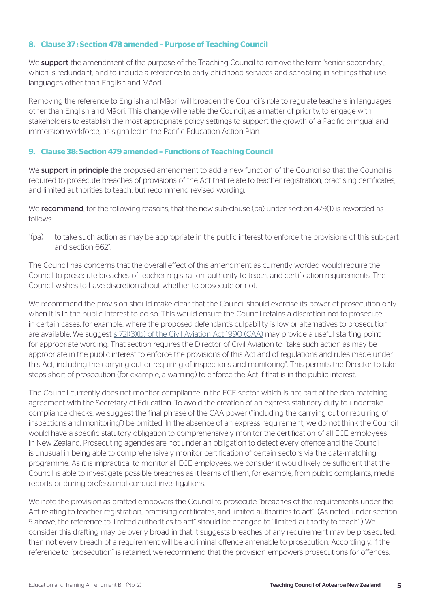### **8. Clause 37 : Section 478 amended – Purpose of Teaching Council**

We **support** the amendment of the purpose of the Teaching Council to remove the term 'senior secondary', which is redundant, and to include a reference to early childhood services and schooling in settings that use languages other than English and Māori.

Removing the reference to English and Māori will broaden the Council's role to regulate teachers in languages other than English and Māori. This change will enable the Council, as a matter of priority, to engage with stakeholders to establish the most appropriate policy settings to support the growth of a Pacific bilingual and immersion workforce, as signalled in the Pacific Education Action Plan.

#### **9. Clause 38: Section 479 amended – Functions of Teaching Council**

We **support in principle** the proposed amendment to add a new function of the Council so that the Council is required to prosecute breaches of provisions of the Act that relate to teacher registration, practising certificates, and limited authorities to teach, but recommend revised wording.

We recommend, for the following reasons, that the new sub-clause (pa) under section 479(1) is reworded as follows:

"(pa) to take such action as may be appropriate in the public interest to enforce the provisions of this sub-part and section 662".

The Council has concerns that the overall effect of this amendment as currently worded would require the Council to prosecute breaches of teacher registration, authority to teach, and certification requirements. The Council wishes to have discretion about whether to prosecute or not.

We recommend the provision should make clear that the Council should exercise its power of prosecution only when it is in the public interest to do so. This would ensure the Council retains a discretion not to prosecute in certain cases, for example, where the proposed defendant's culpability is low or alternatives to prosecution are available. We suggest [s 72I\(3\)\(b\) of the Civil Aviation Act 1990 \(CAA\)](https://www.legislation.govt.nz/act/public/1990/0098/latest/DLM217433.html) may provide a useful starting point for appropriate wording. That section requires the Director of Civil Aviation to "take such action as may be appropriate in the public interest to enforce the provisions of this Act and of regulations and rules made under this Act, including the carrying out or requiring of inspections and monitoring". This permits the Director to take steps short of prosecution (for example, a warning) to enforce the Act if that is in the public interest.

The Council currently does not monitor compliance in the ECE sector, which is not part of the data-matching agreement with the Secretary of Education. To avoid the creation of an express statutory duty to undertake compliance checks, we suggest the final phrase of the CAA power ("including the carrying out or requiring of inspections and monitoring") be omitted. In the absence of an express requirement, we do not think the Council would have a specific statutory obligation to comprehensively monitor the certification of all ECE employees in New Zealand. Prosecuting agencies are not under an obligation to detect every offence and the Council is unusual in being able to comprehensively monitor certification of certain sectors via the data-matching programme. As it is impractical to monitor all ECE employees, we consider it would likely be sufficient that the Council is able to investigate possible breaches as it learns of them, for example, from public complaints, media reports or during professional conduct investigations.

We note the provision as drafted empowers the Council to prosecute "breaches of the requirements under the Act relating to teacher registration, practising certificates, and limited authorities to act". (As noted under section 5 above, the reference to 'limited authorities to act" should be changed to "limited authority to teach".) We consider this drafting may be overly broad in that it suggests breaches of any requirement may be prosecuted, then not every breach of a requirement will be a criminal offence amenable to prosecution. Accordingly, if the reference to "prosecution" is retained, we recommend that the provision empowers prosecutions for offences.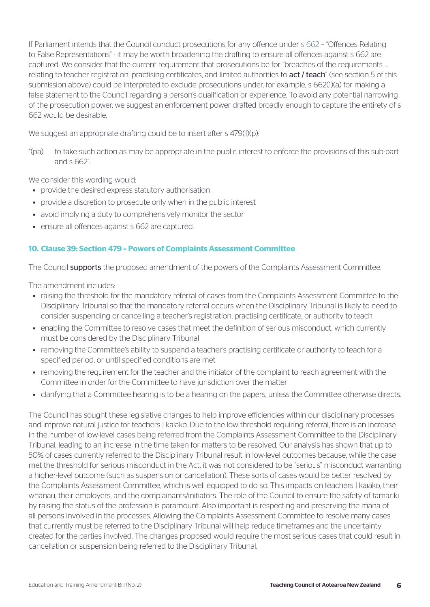If Parliament intends that the Council conduct prosecutions for any offence under [s 662](https://www.legislation.govt.nz/act/public/2020/0038/latest/LMS171876.html) – "Offences Relating to False Representations" - it may be worth broadening the drafting to ensure all offences against s 662 are captured. We consider that the current requirement that prosecutions be for "breaches of the requirements … relating to teacher registration, practising certificates, and limited authorities to act / teach" (see section 5 of this submission above) could be interpreted to exclude prosecutions under, for example, s 662(1)(a) for making a false statement to the Council regarding a person's qualification or experience. To avoid any potential narrowing of the prosecution power, we suggest an enforcement power drafted broadly enough to capture the entirety of s 662 would be desirable.

We suggest an appropriate drafting could be to insert after s 479(1)(p):

"(pa) to take such action as may be appropriate in the public interest to enforce the provisions of this sub-part and s 662".

We consider this wording would:

- provide the desired express statutory authorisation
- provide a discretion to prosecute only when in the public interest
- avoid implying a duty to comprehensively monitor the sector
- ensure all offences against s 662 are captured.

### **10. Clause 39: Section 479 – Powers of Complaints Assessment Committee**

The Council **supports** the proposed amendment of the powers of the Complaints Assessment Committee.

The amendment includes:

- raising the threshold for the mandatory referral of cases from the Complaints Assessment Committee to the Disciplinary Tribunal so that the mandatory referral occurs when the Disciplinary Tribunal is likely to need to consider suspending or cancelling a teacher's registration, practising certificate, or authority to teach
- enabling the Committee to resolve cases that meet the definition of serious misconduct, which currently must be considered by the Disciplinary Tribunal
- removing the Committee's ability to suspend a teacher's practising certificate or authority to teach for a specified period, or until specified conditions are met
- removing the requirement for the teacher and the initiator of the complaint to reach agreement with the Committee in order for the Committee to have jurisdiction over the matter
- clarifying that a Committee hearing is to be a hearing on the papers, unless the Committee otherwise directs.

The Council has sought these legislative changes to help improve efficiencies within our disciplinary processes and improve natural justice for teachers | kajako. Due to the low threshold requiring referral, there is an increase in the number of low-level cases being referred from the Complaints Assessment Committee to the Disciplinary Tribunal, leading to an increase in the time taken for matters to be resolved. Our analysis has shown that up to 50% of cases currently referred to the Disciplinary Tribunal result in low-level outcomes because, while the case met the threshold for serious misconduct in the Act, it was not considered to be "serious" misconduct warranting a higher-level outcome (such as suspension or cancellation). These sorts of cases would be better resolved by the Complaints Assessment Committee, which is well equipped to do so. This impacts on teachers | kaiako, their whānau, their employers, and the complainants/initiators. The role of the Council to ensure the safety of tamariki by raising the status of the profession is paramount. Also important is respecting and preserving the mana of all persons involved in the processes. Allowing the Complaints Assessment Committee to resolve many cases that currently must be referred to the Disciplinary Tribunal will help reduce timeframes and the uncertainty created for the parties involved. The changes proposed would require the most serious cases that could result in cancellation or suspension being referred to the Disciplinary Tribunal.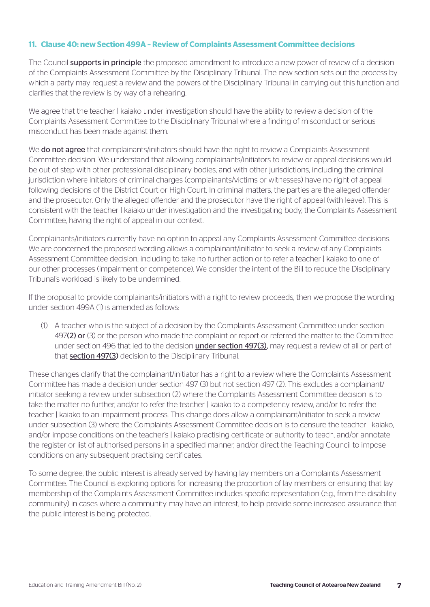## **11. Clause 40: new Section 499A – Review of Complaints Assessment Committee decisions**

The Council **supports in principle** the proposed amendment to introduce a new power of review of a decision of the Complaints Assessment Committee by the Disciplinary Tribunal. The new section sets out the process by which a party may request a review and the powers of the Disciplinary Tribunal in carrying out this function and clarifies that the review is by way of a rehearing.

We agree that the teacher | kaiako under investigation should have the ability to review a decision of the Complaints Assessment Committee to the Disciplinary Tribunal where a finding of misconduct or serious misconduct has been made against them.

We **do not agree** that complainants/initiators should have the right to review a Complaints Assessment Committee decision. We understand that allowing complainants/initiators to review or appeal decisions would be out of step with other professional disciplinary bodies, and with other jurisdictions, including the criminal jurisdiction where initiators of criminal charges (complainants/victims or witnesses) have no right of appeal following decisions of the District Court or High Court. In criminal matters, the parties are the alleged offender and the prosecutor. Only the alleged offender and the prosecutor have the right of appeal (with leave). This is consistent with the teacher | kaiako under investigation and the investigating body, the Complaints Assessment Committee, having the right of appeal in our context.

Complainants/initiators currently have no option to appeal any Complaints Assessment Committee decisions. We are concerned the proposed wording allows a complainant/initiator to seek a review of any Complaints Assessment Committee decision, including to take no further action or to refer a teacher | kaiako to one of our other processes (impairment or competence). We consider the intent of the Bill to reduce the Disciplinary Tribunal's workload is likely to be undermined.

If the proposal to provide complainants/initiators with a right to review proceeds, then we propose the wording under section 499A (1) is amended as follows:

(1) A teacher who is the subject of a decision by the Complaints Assessment Committee under section 497 $(2)$  or (3) or the person who made the complaint or report or referred the matter to the Committee under section 496 that led to the decision **under section 497(3)**, may request a review of all or part of that section 497(3) decision to the Disciplinary Tribunal.

These changes clarify that the complainant/initiator has a right to a review where the Complaints Assessment Committee has made a decision under section 497 (3) but not section 497 (2). This excludes a complainant/ initiator seeking a review under subsection (2) where the Complaints Assessment Committee decision is to take the matter no further, and/or to refer the teacher | kaiako to a competency review, and/or to refer the teacher | kaiako to an impairment process. This change does allow a complainant/initiator to seek a review under subsection (3) where the Complaints Assessment Committee decision is to censure the teacher | kaiako, and/or impose conditions on the teacher's | kaiako practising certificate or authority to teach, and/or annotate the register or list of authorised persons in a specified manner, and/or direct the Teaching Council to impose conditions on any subsequent practising certificates.

To some degree, the public interest is already served by having lay members on a Complaints Assessment Committee. The Council is exploring options for increasing the proportion of lay members or ensuring that lay membership of the Complaints Assessment Committee includes specific representation (e.g., from the disability community) in cases where a community may have an interest, to help provide some increased assurance that the public interest is being protected.